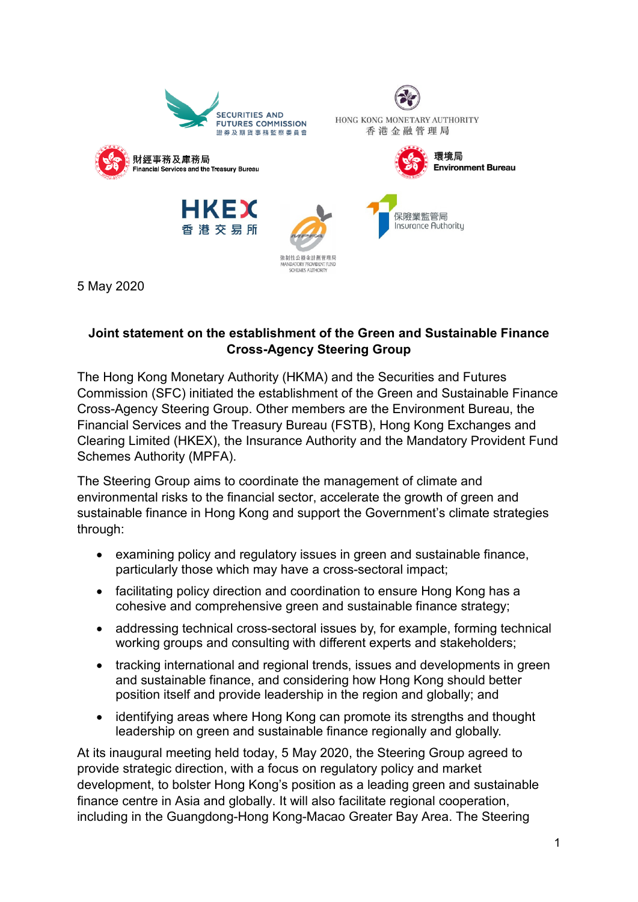

5 May 2020

### **Joint statement on the establishment of the Green and Sustainable Finance Cross-Agency Steering Group**

The Hong Kong Monetary Authority (HKMA) and the Securities and Futures Commission (SFC) initiated the establishment of the Green and Sustainable Finance Cross-Agency Steering Group. Other members are the Environment Bureau, the Financial Services and the Treasury Bureau (FSTB), Hong Kong Exchanges and Clearing Limited (HKEX), the Insurance Authority and the Mandatory Provident Fund Schemes Authority (MPFA).

The Steering Group aims to coordinate the management of climate and environmental risks to the financial sector, accelerate the growth of green and sustainable finance in Hong Kong and support the Government's climate strategies through:

- examining policy and regulatory issues in green and sustainable finance, particularly those which may have a cross-sectoral impact;
- facilitating policy direction and coordination to ensure Hong Kong has a cohesive and comprehensive green and sustainable finance strategy;
- addressing technical cross-sectoral issues by, for example, forming technical working groups and consulting with different experts and stakeholders;
- tracking international and regional trends, issues and developments in green and sustainable finance, and considering how Hong Kong should better position itself and provide leadership in the region and globally; and
- identifying areas where Hong Kong can promote its strengths and thought leadership on green and sustainable finance regionally and globally.

At its inaugural meeting held today, 5 May 2020, the Steering Group agreed to provide strategic direction, with a focus on regulatory policy and market development, to bolster Hong Kong's position as a leading green and sustainable finance centre in Asia and globally. It will also facilitate regional cooperation, including in the Guangdong-Hong Kong-Macao Greater Bay Area. The Steering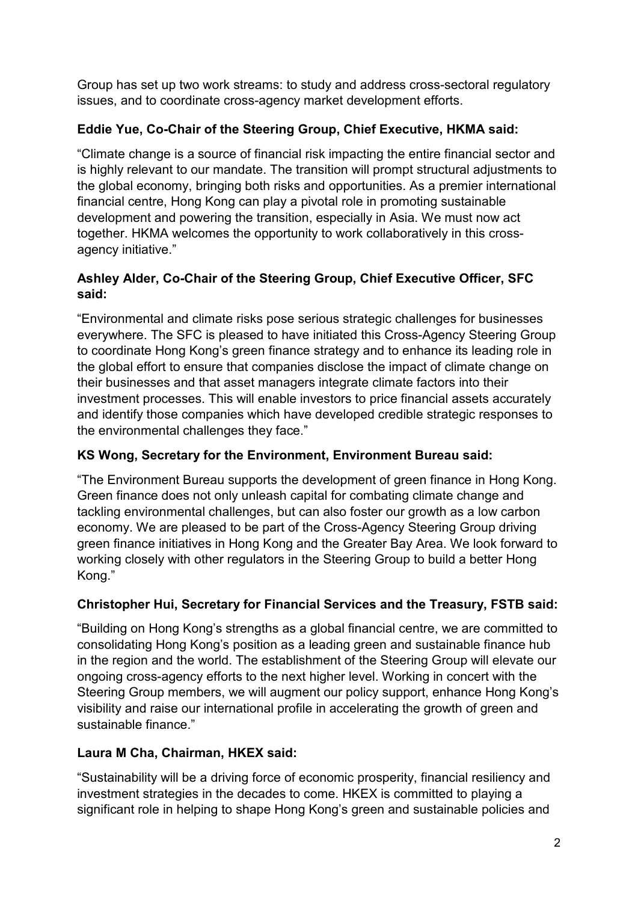Group has set up two work streams: to study and address cross-sectoral regulatory issues, and to coordinate cross-agency market development efforts.

# **Eddie Yue, Co-Chair of the Steering Group, Chief Executive, HKMA said:**

"Climate change is a source of financial risk impacting the entire financial sector and is highly relevant to our mandate. The transition will prompt structural adjustments to the global economy, bringing both risks and opportunities. As a premier international financial centre, Hong Kong can play a pivotal role in promoting sustainable development and powering the transition, especially in Asia. We must now act together. HKMA welcomes the opportunity to work collaboratively in this crossagency initiative."

# **Ashley Alder, Co-Chair of the Steering Group, Chief Executive Officer, SFC said:**

"Environmental and climate risks pose serious strategic challenges for businesses everywhere. The SFC is pleased to have initiated this Cross-Agency Steering Group to coordinate Hong Kong's green finance strategy and to enhance its leading role in the global effort to ensure that companies disclose the impact of climate change on their businesses and that asset managers integrate climate factors into their investment processes. This will enable investors to price financial assets accurately and identify those companies which have developed credible strategic responses to the environmental challenges they face."

# **KS Wong, Secretary for the Environment, Environment Bureau said:**

"The Environment Bureau supports the development of green finance in Hong Kong. Green finance does not only unleash capital for combating climate change and tackling environmental challenges, but can also foster our growth as a low carbon economy. We are pleased to be part of the Cross-Agency Steering Group driving green finance initiatives in Hong Kong and the Greater Bay Area. We look forward to working closely with other regulators in the Steering Group to build a better Hong Kong."

## **Christopher Hui, Secretary for Financial Services and the Treasury, FSTB said:**

"Building on Hong Kong's strengths as a global financial centre, we are committed to consolidating Hong Kong's position as a leading green and sustainable finance hub in the region and the world. The establishment of the Steering Group will elevate our ongoing cross-agency efforts to the next higher level. Working in concert with the Steering Group members, we will augment our policy support, enhance Hong Kong's visibility and raise our international profile in accelerating the growth of green and sustainable finance."

## **Laura M Cha, Chairman, HKEX said:**

"Sustainability will be a driving force of economic prosperity, financial resiliency and investment strategies in the decades to come. HKEX is committed to playing a significant role in helping to shape Hong Kong's green and sustainable policies and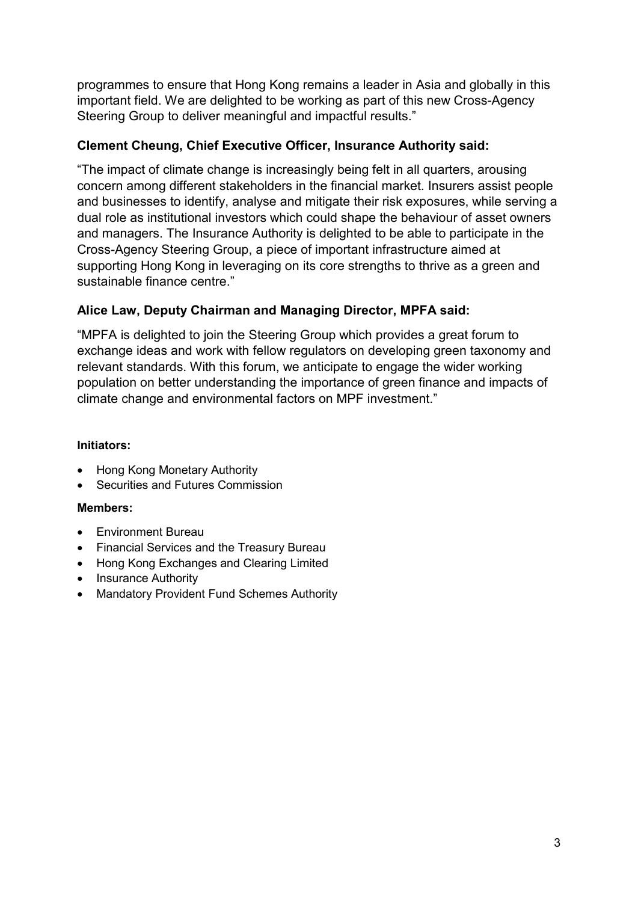programmes to ensure that Hong Kong remains a leader in Asia and globally in this important field. We are delighted to be working as part of this new Cross-Agency Steering Group to deliver meaningful and impactful results."

#### **Clement Cheung, Chief Executive Officer, Insurance Authority said:**

"The impact of climate change is increasingly being felt in all quarters, arousing concern among different stakeholders in the financial market. Insurers assist people and businesses to identify, analyse and mitigate their risk exposures, while serving a dual role as institutional investors which could shape the behaviour of asset owners and managers. The Insurance Authority is delighted to be able to participate in the Cross-Agency Steering Group, a piece of important infrastructure aimed at supporting Hong Kong in leveraging on its core strengths to thrive as a green and sustainable finance centre."

### **Alice Law, Deputy Chairman and Managing Director, MPFA said:**

"MPFA is delighted to join the Steering Group which provides a great forum to exchange ideas and work with fellow regulators on developing green taxonomy and relevant standards. With this forum, we anticipate to engage the wider working population on better understanding the importance of green finance and impacts of climate change and environmental factors on MPF investment."

#### **Initiators:**

- Hong Kong Monetary Authority
- Securities and Futures Commission

#### **Members:**

- Environment Bureau
- Financial Services and the Treasury Bureau
- Hong Kong Exchanges and Clearing Limited
- Insurance Authority
- Mandatory Provident Fund Schemes Authority